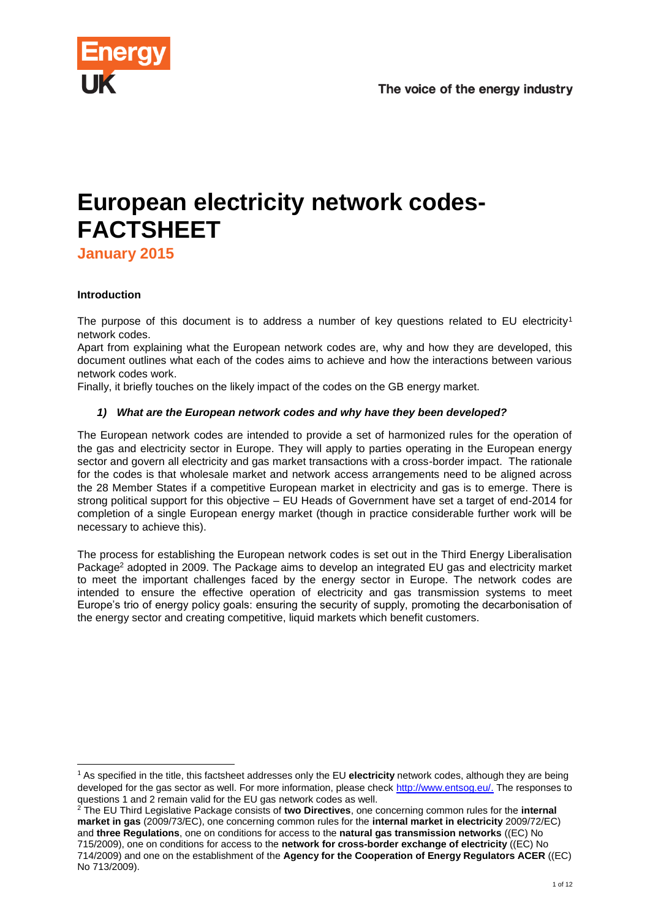

# **European electricity network codes-FACTSHEET**

**January 2015**

### **Introduction**

l

The purpose of this document is to address a number of key questions related to EU electricity<sup>1</sup> network codes.

Apart from explaining what the European network codes are, why and how they are developed, this document outlines what each of the codes aims to achieve and how the interactions between various network codes work.

Finally, it briefly touches on the likely impact of the codes on the GB energy market.

### *1) What are the European network codes and why have they been developed?*

The European network codes are intended to provide a set of harmonized rules for the operation of the gas and electricity sector in Europe. They will apply to parties operating in the European energy sector and govern all electricity and gas market transactions with a cross-border impact. The rationale for the codes is that wholesale market and network access arrangements need to be aligned across the 28 Member States if a competitive European market in electricity and gas is to emerge. There is strong political support for this objective – EU Heads of Government have set a target of end-2014 for completion of a single European energy market (though in practice considerable further work will be necessary to achieve this).

The process for establishing the European network codes is set out in the Third Energy Liberalisation Package<sup>2</sup> adopted in 2009. The Package aims to develop an integrated EU gas and electricity market to meet the important challenges faced by the energy sector in Europe. The network codes are intended to ensure the effective operation of electricity and gas transmission systems to meet Europe's trio of energy policy goals: ensuring the security of supply, promoting the decarbonisation of the energy sector and creating competitive, liquid markets which benefit customers.

<sup>1</sup> As specified in the title, this factsheet addresses only the EU **electricity** network codes, although they are being developed for the gas sector as well. For more information, please check [http://www.entsog.eu/.](http://www.entsog.eu/) The responses to questions 1 and 2 remain valid for the EU gas network codes as well.

<sup>2</sup> The EU Third Legislative Package consists of **two Directives**, one concerning common rules for the **internal market in gas** (2009/73/EC), one concerning common rules for the **internal market in electricity** 2009/72/EC) and **three Regulations**, one on conditions for access to the **natural gas transmission networks** ((EC) No 715/2009), one on conditions for access to the **network for cross-border exchange of electricity** ((EC) No 714/2009) and one on the establishment of the **Agency for the Cooperation of Energy Regulators ACER** ((EC) No 713/2009).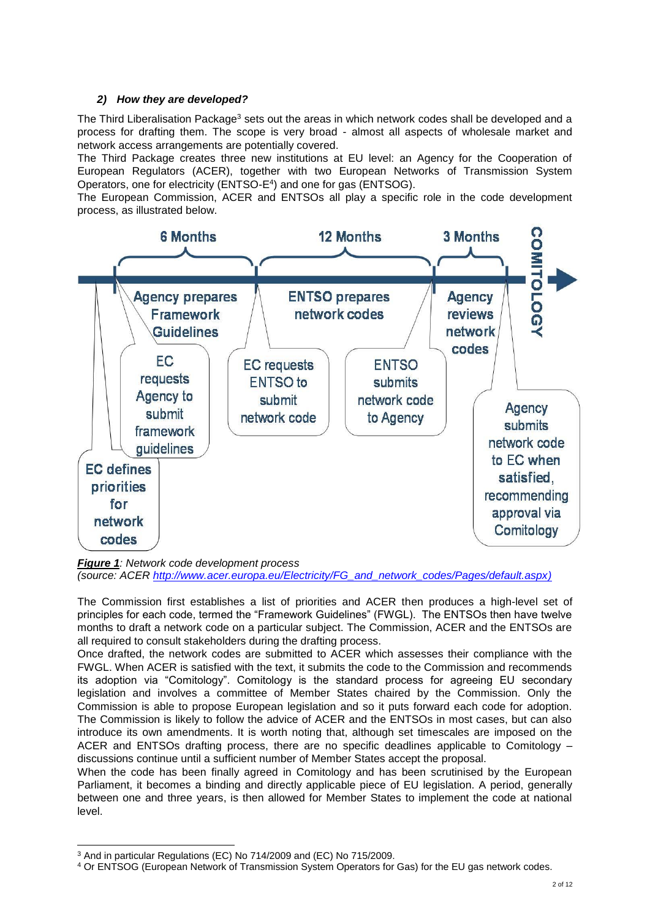### *2) How they are developed?*

The Third Liberalisation Package<sup>3</sup> sets out the areas in which network codes shall be developed and a process for drafting them. The scope is very broad - almost all aspects of wholesale market and network access arrangements are potentially covered.

The Third Package creates three new institutions at EU level: an Agency for the Cooperation of European Regulators (ACER), together with two European Networks of Transmission System Operators, one for electricity (ENTSO-E<sup>4</sup>) and one for gas (ENTSOG).

The European Commission, ACER and ENTSOs all play a specific role in the code development process, as illustrated below.



*Figure 1: Network code development process* 

*(source: ACER [http://www.acer.europa.eu/Electricity/FG\\_and\\_network\\_codes/Pages/default.aspx\)](http://www.acer.europa.eu/Electricity/FG_and_network_codes/Pages/default.aspx)*

The Commission first establishes a list of priorities and ACER then produces a high-level set of principles for each code, termed the "Framework Guidelines" (FWGL). The ENTSOs then have twelve months to draft a network code on a particular subject. The Commission, ACER and the ENTSOs are all required to consult stakeholders during the drafting process.

Once drafted, the network codes are submitted to ACER which assesses their compliance with the FWGL. When ACER is satisfied with the text, it submits the code to the Commission and recommends its adoption via "Comitology". Comitology is the standard process for agreeing EU secondary legislation and involves a committee of Member States chaired by the Commission. Only the Commission is able to propose European legislation and so it puts forward each code for adoption. The Commission is likely to follow the advice of ACER and the ENTSOs in most cases, but can also introduce its own amendments. It is worth noting that, although set timescales are imposed on the ACER and ENTSOs drafting process, there are no specific deadlines applicable to Comitology – discussions continue until a sufficient number of Member States accept the proposal.

When the code has been finally agreed in Comitology and has been scrutinised by the European Parliament, it becomes a binding and directly applicable piece of EU legislation. A period, generally between one and three years, is then allowed for Member States to implement the code at national level.

l

<sup>&</sup>lt;sup>3</sup> And in particular Regulations (EC) No 714/2009 and (EC) No 715/2009.

<sup>4</sup> Or ENTSOG (European Network of Transmission System Operators for Gas) for the EU gas network codes.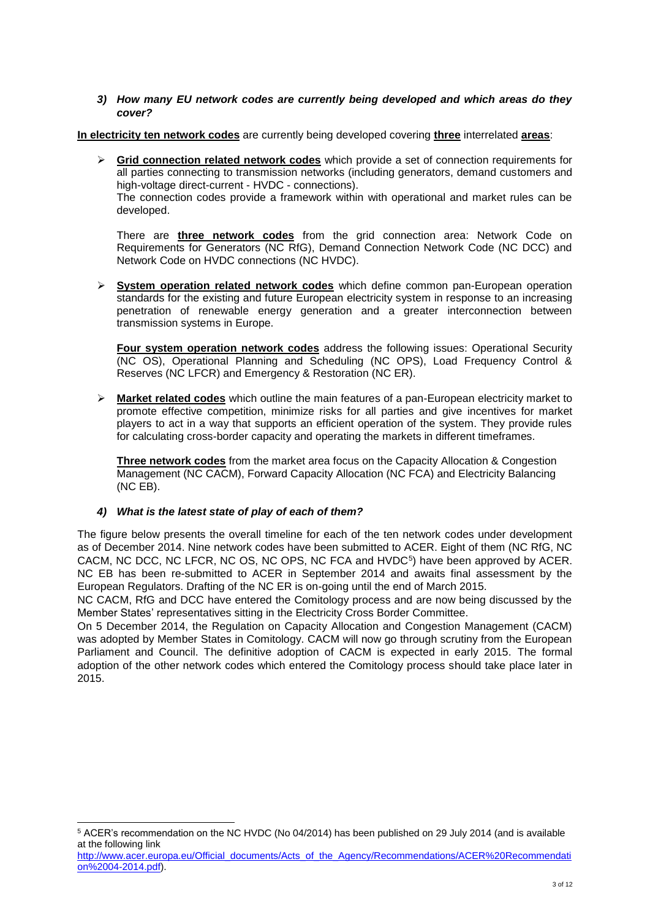### *3) How many EU network codes are currently being developed and which areas do they cover?*

**In electricity ten network codes** are currently being developed covering **three** interrelated **areas**:

**►** Grid connection related network codes which provide a set of connection requirements for all parties connecting to transmission networks (including generators, demand customers and high-voltage direct-current - HVDC - connections).

The connection codes provide a framework within with operational and market rules can be developed.

There are **three network codes** from the grid connection area: Network Code on Requirements for Generators (NC RfG), Demand Connection Network Code (NC DCC) and Network Code on HVDC connections (NC HVDC).

 **System operation related network codes** which define common pan-European operation standards for the existing and future European electricity system in response to an increasing penetration of renewable energy generation and a greater interconnection between transmission systems in Europe.

**Four system operation network codes** address the following issues: Operational Security (NC OS), Operational Planning and Scheduling (NC OPS), Load Frequency Control & Reserves (NC LFCR) and Emergency & Restoration (NC ER).

 **Market related codes** which outline the main features of a pan-European electricity market to promote effective competition, minimize risks for all parties and give incentives for market players to act in a way that supports an efficient operation of the system. They provide rules for calculating cross-border capacity and operating the markets in different timeframes.

**Three network codes** from the market area focus on the Capacity Allocation & Congestion Management (NC CACM), Forward Capacity Allocation (NC FCA) and Electricity Balancing (NC EB).

### *4) What is the latest state of play of each of them?*

l

The figure below presents the overall timeline for each of the ten network codes under development as of December 2014. Nine network codes have been submitted to ACER. Eight of them (NC RfG, NC CACM, NC DCC, NC LFCR, NC OS, NC OPS, NC FCA and HVDC<sup>5</sup>) have been approved by ACER. NC EB has been re-submitted to ACER in September 2014 and awaits final assessment by the European Regulators. Drafting of the NC ER is on-going until the end of March 2015.

NC CACM, RfG and DCC have entered the Comitology process and are now being discussed by the Member States' representatives sitting in the Electricity Cross Border Committee.

On 5 December 2014, the Regulation on Capacity Allocation and Congestion Management (CACM) was adopted by Member States in Comitology. CACM will now go through scrutiny from the European Parliament and Council. The definitive adoption of CACM is expected in early 2015. The formal adoption of the other network codes which entered the Comitology process should take place later in 2015.

[http://www.acer.europa.eu/Official\\_documents/Acts\\_of\\_the\\_Agency/Recommendations/ACER%20Recommendati](http://www.acer.europa.eu/Official_documents/Acts_of_the_Agency/Recommendations/ACER%20Recommendation%2004-2014.pdf) [on%2004-2014.pdf\)](http://www.acer.europa.eu/Official_documents/Acts_of_the_Agency/Recommendations/ACER%20Recommendation%2004-2014.pdf).

<sup>5</sup> ACER's recommendation on the NC HVDC (No 04/2014) has been published on 29 July 2014 (and is available at the following link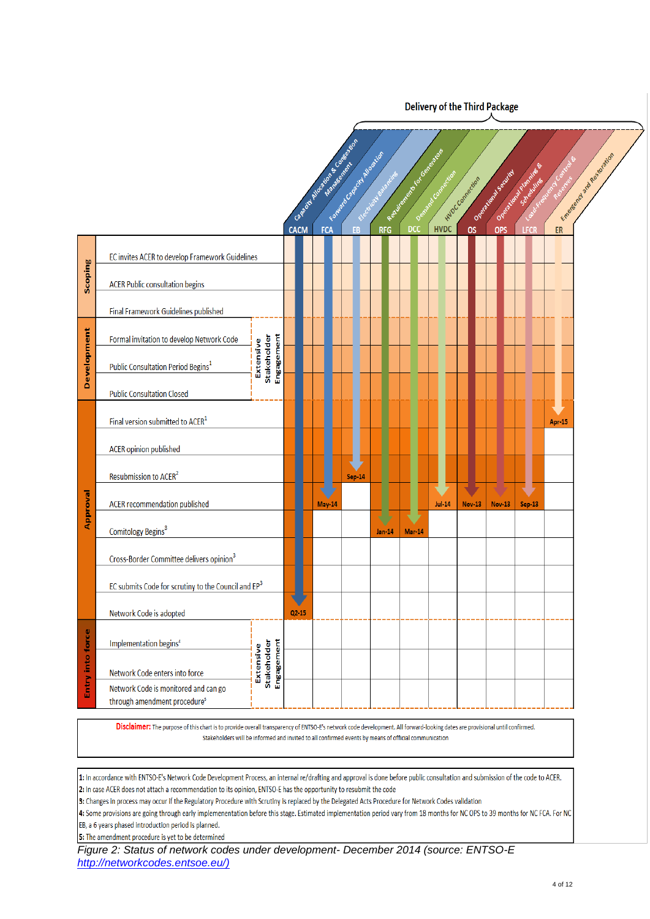**Delivery of the Third Package** 

|                  |                                                                                  |                                        |            | Capacity and November 25 of Residence<br><b>CACM</b> | FCA    | Football Contract Manufacture<br>EB | Section Management<br><b>RFG</b> | Requirement to concern of<br><b>DCC</b> | Download Comection<br><b>HVDC</b> | HUDC Connection<br><b>OS</b> | Orentaliste Section<br>OPS | Opening plantife &<br>Scheduline<br>LFCR | Laguide Allend Catalog<br>ER | Engrand of the Residence |
|------------------|----------------------------------------------------------------------------------|----------------------------------------|------------|------------------------------------------------------|--------|-------------------------------------|----------------------------------|-----------------------------------------|-----------------------------------|------------------------------|----------------------------|------------------------------------------|------------------------------|--------------------------|
| Scoping          | EC invites ACER to develop Framework Guidelines                                  |                                        |            |                                                      |        |                                     |                                  |                                         |                                   |                              |                            |                                          |                              |                          |
|                  | <b>ACER Public consultation begins</b>                                           |                                        |            |                                                      |        |                                     |                                  |                                         |                                   |                              |                            |                                          |                              |                          |
|                  | <b>Final Framework Guidelines published</b>                                      |                                        |            |                                                      |        |                                     |                                  |                                         |                                   |                              |                            |                                          |                              |                          |
| Development      | Formal invitation to develop Network Code                                        | Stakeholder<br>Extensive               |            |                                                      |        |                                     |                                  |                                         |                                   |                              |                            |                                          |                              |                          |
|                  | Public Consultation Period Begins <sup>1</sup>                                   |                                        | Engagement |                                                      |        |                                     |                                  |                                         |                                   |                              |                            |                                          |                              |                          |
|                  | <b>Public Consultation Closed</b>                                                |                                        |            |                                                      |        |                                     |                                  |                                         |                                   |                              |                            |                                          |                              |                          |
|                  | Final version submitted to ACER <sup>1</sup>                                     |                                        |            |                                                      |        |                                     |                                  |                                         |                                   |                              |                            |                                          | <b>Apr-15</b>                |                          |
|                  | ACER opinion published                                                           |                                        |            |                                                      |        |                                     |                                  |                                         |                                   |                              |                            |                                          |                              |                          |
|                  | Resubmission to ACER <sup>2</sup>                                                |                                        |            |                                                      |        | <b>Sep-14</b>                       |                                  |                                         |                                   |                              |                            |                                          |                              |                          |
| Approval         | ACER recommendation published                                                    |                                        |            |                                                      | May-14 |                                     |                                  |                                         | <b>Jul-14</b>                     | <b>Nov-13</b>                | <b>Nov-13</b>              | <b>Sep-13</b>                            |                              |                          |
|                  | Comitology Begins <sup>3</sup>                                                   |                                        |            |                                                      |        |                                     | $Jan-14$                         | Mar-14                                  |                                   |                              |                            |                                          |                              |                          |
|                  | Cross-Border Committee delivers opinion <sup>3</sup>                             |                                        |            |                                                      |        |                                     |                                  |                                         |                                   |                              |                            |                                          |                              |                          |
|                  | EC submits Code for scrutiny to the Council and EP <sup>3</sup>                  |                                        |            |                                                      |        |                                     |                                  |                                         |                                   |                              |                            |                                          |                              |                          |
|                  | Network Code is adopted                                                          |                                        |            | $Q2-15$                                              |        |                                     |                                  |                                         |                                   |                              |                            |                                          |                              |                          |
| Entry into force | Implementation begins <sup>4</sup>                                               | Engagement<br>Stakeholder<br>Extensive |            |                                                      |        |                                     |                                  |                                         |                                   |                              |                            |                                          |                              |                          |
|                  | Network Code enters into force                                                   |                                        |            |                                                      |        |                                     |                                  |                                         |                                   |                              |                            |                                          |                              |                          |
|                  | Network Code is monitored and can go<br>through amendment procedure <sup>5</sup> |                                        |            |                                                      |        |                                     |                                  |                                         |                                   |                              |                            |                                          |                              |                          |

Disclaimer: The purpose of this chart is to provide overall transparency of ENTSO-E's network code development. All forward-looking dates are provisional until confirmed. Stakeholders will be informed and invited to all confirmed events by means of official communication

1: In accordance with ENTSO-E's Network Code Development Process, an internal re/drafting and approval is done before public consultation and submission of the code to ACER. 2: In case ACER does not attach a recommendation to its opinion, ENTSO-E has the opportunity to resubmit the code

3: Changes in process may occur if the Regulatory Procedure with Scrutiny is replaced by the Delegated Acts Procedure for Network Codes validation

4: Some provisions are going through early implemenentation before this stage. Estimated implementation period vary from 18 months for NC OPS to 39 months for NC FCA. For NC EB, a 6 years phased introduction period is planned.

5: The amendment procedure is yet to be determined

*Figure 2: Status of network codes under development- December 2014 (source: ENTSO-E [http://networkcodes.entsoe.eu/\)](http://networkcodes.entsoe.eu/)*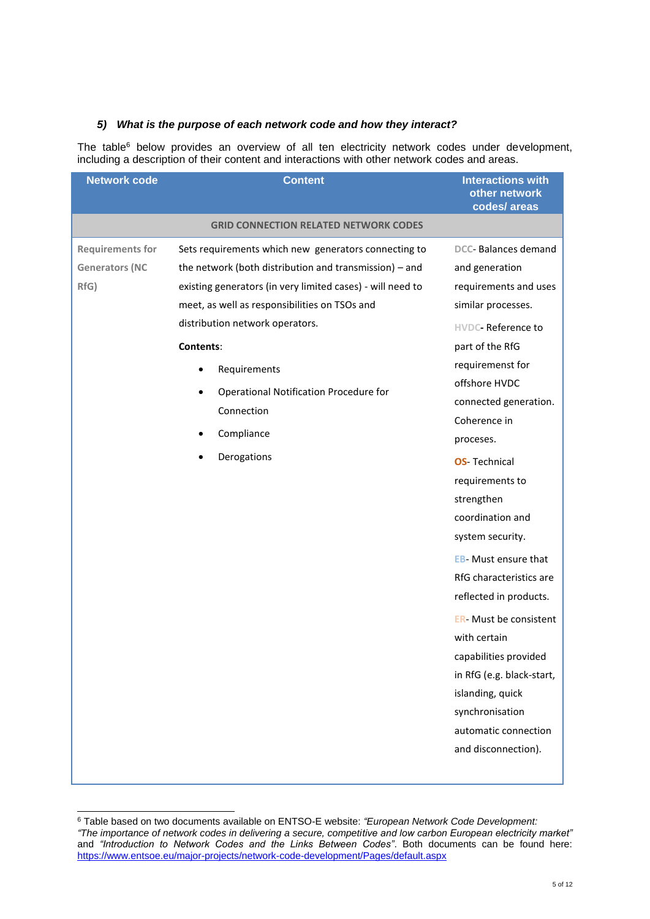### *5) What is the purpose of each network code and how they interact?*

The table<sup>6</sup> below provides an overview of all ten electricity network codes under development, including a description of their content and interactions with other network codes and areas.

| <b>Network code</b>                                      | <b>Content</b>                                                                                                                                                                                                                                                                                                                                                                       | <b>Interactions with</b><br>other network<br>codes/areas                                                                                                                                                                                                                                                                                                                                                                                                                                                                                                                                                         |
|----------------------------------------------------------|--------------------------------------------------------------------------------------------------------------------------------------------------------------------------------------------------------------------------------------------------------------------------------------------------------------------------------------------------------------------------------------|------------------------------------------------------------------------------------------------------------------------------------------------------------------------------------------------------------------------------------------------------------------------------------------------------------------------------------------------------------------------------------------------------------------------------------------------------------------------------------------------------------------------------------------------------------------------------------------------------------------|
|                                                          | <b>GRID CONNECTION RELATED NETWORK CODES</b>                                                                                                                                                                                                                                                                                                                                         |                                                                                                                                                                                                                                                                                                                                                                                                                                                                                                                                                                                                                  |
| <b>Requirements for</b><br><b>Generators (NC</b><br>RfG) | Sets requirements which new generators connecting to<br>the network (both distribution and transmission) $-$ and<br>existing generators (in very limited cases) - will need to<br>meet, as well as responsibilities on TSOs and<br>distribution network operators.<br>Contents:<br>Requirements<br>Operational Notification Procedure for<br>Connection<br>Compliance<br>Derogations | DCC- Balances demand<br>and generation<br>requirements and uses<br>similar processes.<br><b>HVDC-Reference to</b><br>part of the RfG<br>requiremenst for<br>offshore HVDC<br>connected generation.<br>Coherence in<br>proceses.<br><b>OS-Technical</b><br>requirements to<br>strengthen<br>coordination and<br>system security.<br><b>EB-</b> Must ensure that<br>RfG characteristics are<br>reflected in products.<br><b>ER-</b> Must be consistent<br>with certain<br>capabilities provided<br>in RfG (e.g. black-start,<br>islanding, quick<br>synchronisation<br>automatic connection<br>and disconnection). |
|                                                          |                                                                                                                                                                                                                                                                                                                                                                                      |                                                                                                                                                                                                                                                                                                                                                                                                                                                                                                                                                                                                                  |

<sup>6</sup> Table based on two documents available on ENTSO-E website: *"European Network Code Development: "The importance of network codes in delivering a secure, competitive and low carbon European electricity market"* and *"Introduction to Network Codes and the Links Between Codes"*. Both documents can be found here: <https://www.entsoe.eu/major-projects/network-code-development/Pages/default.aspx>

l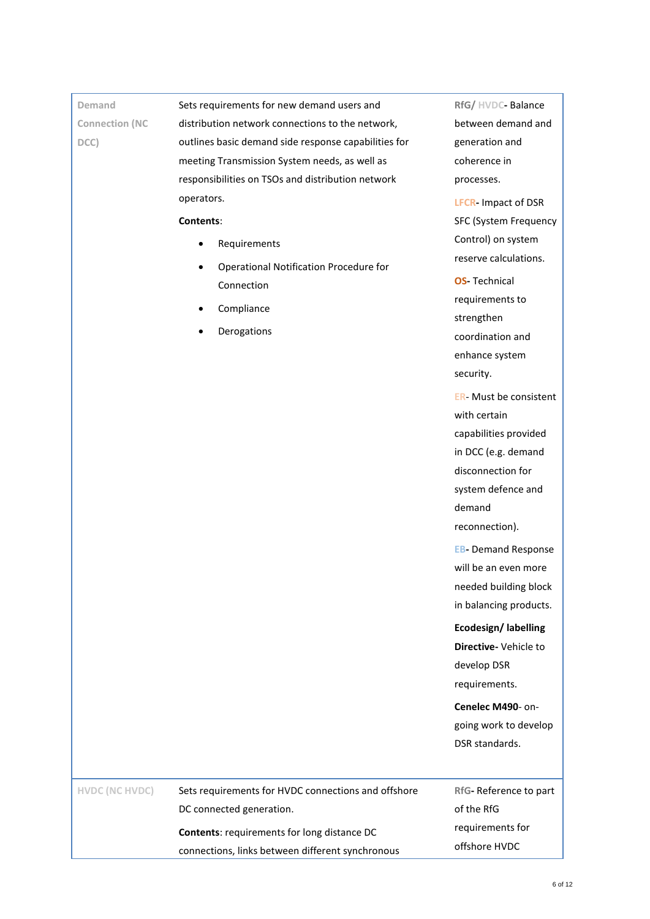### **Demand Connection (NC DCC)**

Sets requirements for new demand users and distribution network connections to the network, outlines basic demand side response capabilities for meeting Transmission System needs, as well as responsibilities on TSOs and distribution network operators.

#### **Contents**:

- Requirements
- Operational Notification Procedure for Connection
- Compliance
- Derogations

**RfG/ HVDC-** Balance between demand and generation and coherence in processes.

**LFCR-** Impact of DSR SFC (System Frequency Control) on system reserve calculations.

**OS-** Technical requirements to strengthen coordination and enhance system security.

**ER**- Must be consistent with certain capabilities provided in DCC (e.g. demand disconnection for system defence and demand reconnection).

**EB-** Demand Response will be an even more needed building block in balancing products.

## **Ecodesign/ labelling Directive-** Vehicle to develop DSR requirements.

**Cenelec M490**- ongoing work to develop DSR standards.

**HVDC (NC HVDC)** Sets requirements for HVDC connections and offshore DC connected generation. **Contents**: requirements for long distance DC

connections, links between different synchronous

**RfG-** Reference to part of the RfG requirements for offshore HVDC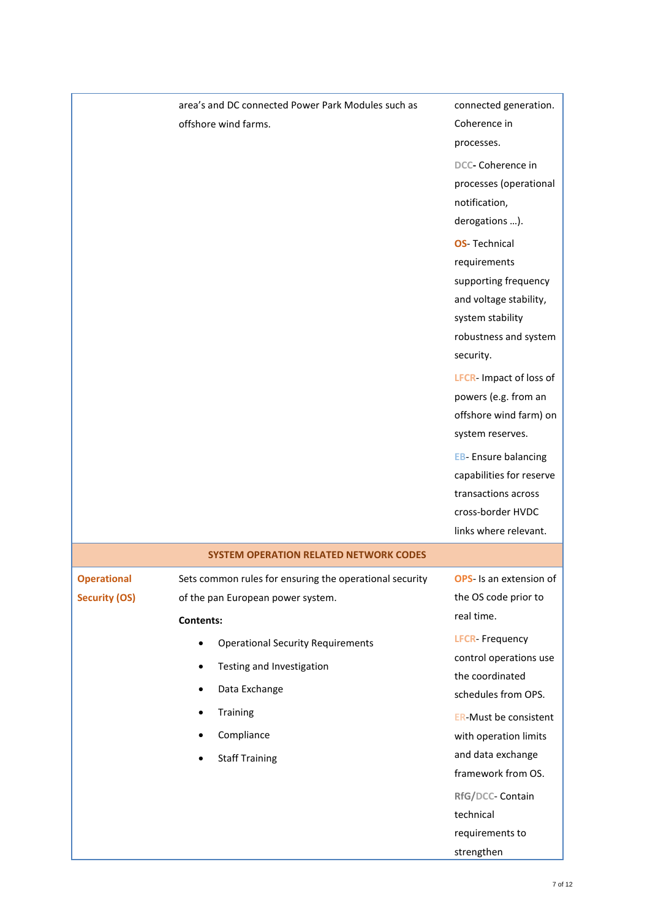|                      | area's and DC connected Power Park Modules such as      | connected generation.          |
|----------------------|---------------------------------------------------------|--------------------------------|
|                      | offshore wind farms.                                    | Coherence in                   |
|                      |                                                         | processes.                     |
|                      |                                                         | DCC- Coherence in              |
|                      |                                                         | processes (operational         |
|                      |                                                         | notification,                  |
|                      |                                                         | derogations ).                 |
|                      |                                                         | <b>OS-Technical</b>            |
|                      |                                                         | requirements                   |
|                      |                                                         | supporting frequency           |
|                      |                                                         | and voltage stability,         |
|                      |                                                         | system stability               |
|                      |                                                         | robustness and system          |
|                      |                                                         | security.                      |
|                      |                                                         | LFCR- Impact of loss of        |
|                      |                                                         | powers (e.g. from an           |
|                      |                                                         | offshore wind farm) on         |
|                      |                                                         | system reserves.               |
|                      |                                                         | <b>EB-</b> Ensure balancing    |
|                      |                                                         | capabilities for reserve       |
|                      |                                                         | transactions across            |
|                      |                                                         | cross-border HVDC              |
|                      |                                                         | links where relevant.          |
|                      | <b>SYSTEM OPERATION RELATED NETWORK CODES</b>           |                                |
| <b>Operational</b>   | Sets common rules for ensuring the operational security | <b>OPS-</b> Is an extension of |
| <b>Security (OS)</b> | of the pan European power system.                       | the OS code prior to           |
|                      | <b>Contents:</b>                                        | real time.                     |
|                      | <b>Operational Security Requirements</b>                | <b>LFCR-Frequency</b>          |
|                      | Testing and Investigation                               | control operations use         |
|                      | Data Exchange                                           | the coordinated                |
|                      |                                                         | schedules from OPS.            |
|                      | Training                                                | <b>ER-Must be consistent</b>   |
|                      | Compliance                                              | with operation limits          |
|                      | <b>Staff Training</b>                                   | and data exchange              |
|                      |                                                         | framework from OS.             |
|                      |                                                         | RfG/DCC- Contain               |
|                      |                                                         | technical                      |
|                      |                                                         | requirements to                |
|                      |                                                         | strengthen                     |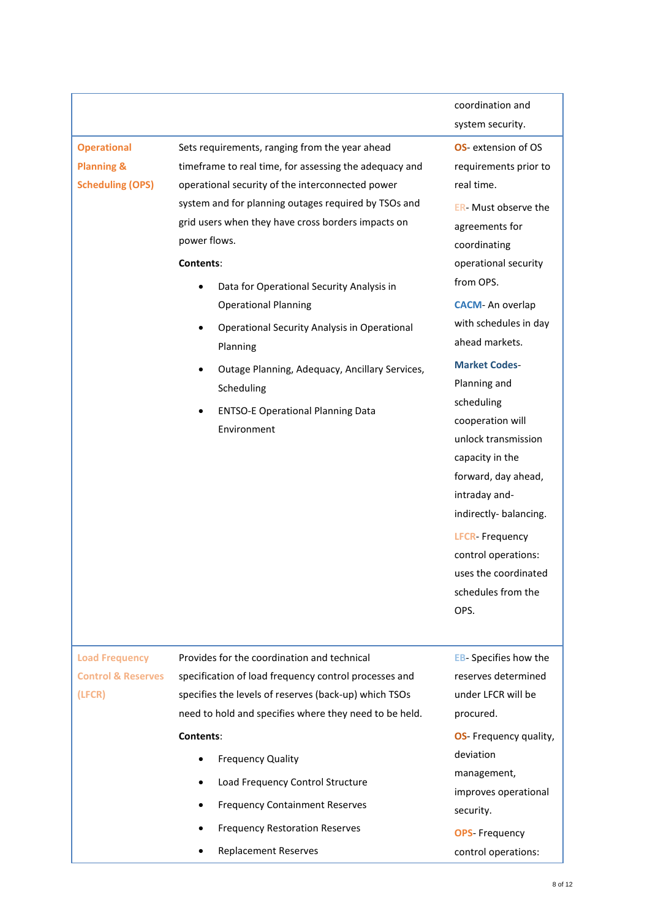### **Operational Planning &**

**Scheduling (OPS)**

Sets requirements, ranging from the year ahead timeframe to real time, for assessing the adequacy and operational security of the interconnected power system and for planning outages required by TSOs and grid users when they have cross borders impacts on power flows.

#### **Contents**:

- Data for Operational Security Analysis in Operational Planning
- Operational Security Analysis in Operational Planning
- Outage Planning, Adequacy, Ancillary Services, Scheduling
- ENTSO-E Operational Planning Data Environment

coordination and system security.

**OS**- extension of OS requirements prior to real time.

**ER**- Must observe the agreements for coordinating operational security from OPS.

**CACM**- An overlap with schedules in day ahead markets.

**Market Codes**-

Planning and scheduling cooperation will unlock transmission capacity in the forward, day ahead, intraday andindirectly- balancing.

**LFCR**- Frequency control operations: uses the coordinated schedules from the OPS.

**Load Frequency Control & Reserves (LFCR)**

Provides for the coordination and technical specification of load frequency control processes and specifies the levels of reserves (back-up) which TSOs need to hold and specifies where they need to be held. **Contents**:

- Frequency Quality
- Load Frequency Control Structure
- Frequency Containment Reserves
- Frequency Restoration Reserves
- Replacement Reserves

**EB**- Specifies how the reserves determined under LFCR will be procured.

**OS**- Frequency quality, deviation management, improves operational security. **OPS**- Frequency

control operations: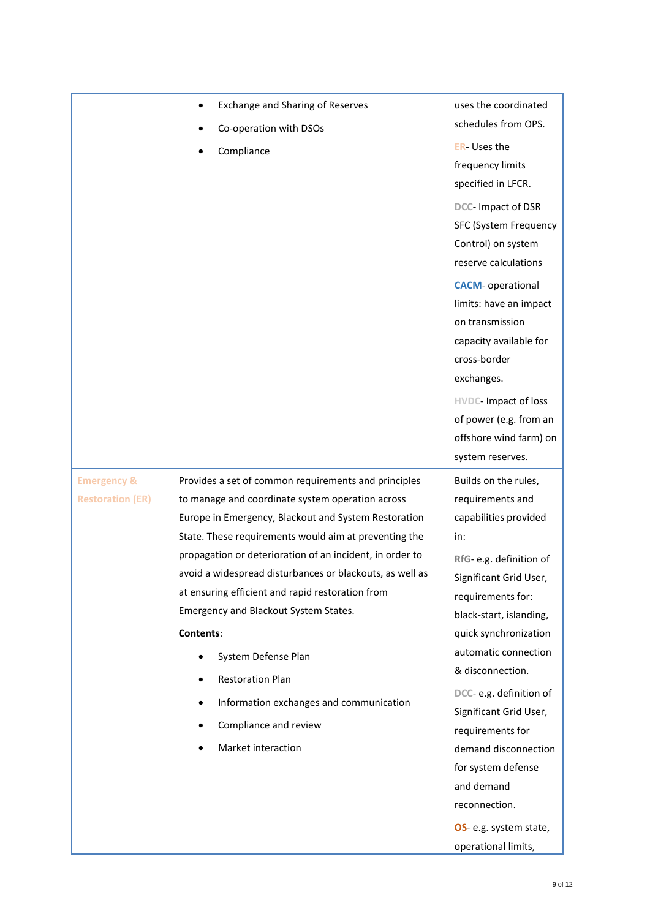|                         | Exchange and Sharing of Reserves                         | uses the coordinated         |
|-------------------------|----------------------------------------------------------|------------------------------|
|                         | Co-operation with DSOs                                   | schedules from OPS.          |
|                         | Compliance                                               | <b>ER-Uses the</b>           |
|                         |                                                          | frequency limits             |
|                         |                                                          | specified in LFCR.           |
|                         |                                                          | DCC- Impact of DSR           |
|                         |                                                          | <b>SFC (System Frequency</b> |
|                         |                                                          | Control) on system           |
|                         |                                                          | reserve calculations         |
|                         |                                                          | <b>CACM-</b> operational     |
|                         |                                                          | limits: have an impact       |
|                         |                                                          | on transmission              |
|                         |                                                          | capacity available for       |
|                         |                                                          | cross-border                 |
|                         |                                                          | exchanges.                   |
|                         |                                                          | HVDC- Impact of loss         |
|                         |                                                          | of power (e.g. from an       |
|                         |                                                          | offshore wind farm) on       |
|                         |                                                          | system reserves.             |
| <b>Emergency &amp;</b>  | Provides a set of common requirements and principles     | Builds on the rules,         |
| <b>Restoration (ER)</b> | to manage and coordinate system operation across         | requirements and             |
|                         | Europe in Emergency, Blackout and System Restoration     | capabilities provided        |
|                         | State. These requirements would aim at preventing the    | in:                          |
|                         | propagation or deterioration of an incident, in order to | RfG-e.g. definition of       |
|                         | avoid a widespread disturbances or blackouts, as well as | Significant Grid User,       |
|                         | at ensuring efficient and rapid restoration from         | requirements for:            |
|                         | Emergency and Blackout System States.                    | black-start, islanding,      |
|                         | Contents:                                                | quick synchronization        |
|                         | System Defense Plan                                      | automatic connection         |
|                         | <b>Restoration Plan</b>                                  | & disconnection.             |
|                         | Information exchanges and communication                  | DCC-e.g. definition of       |
|                         |                                                          | Significant Grid User,       |
|                         | Compliance and review                                    | requirements for             |
|                         | Market interaction                                       | demand disconnection         |
|                         |                                                          | for system defense           |
|                         |                                                          | and demand                   |
|                         |                                                          | reconnection.                |
|                         |                                                          | OS- e.g. system state,       |
|                         |                                                          | operational limits,          |
|                         |                                                          |                              |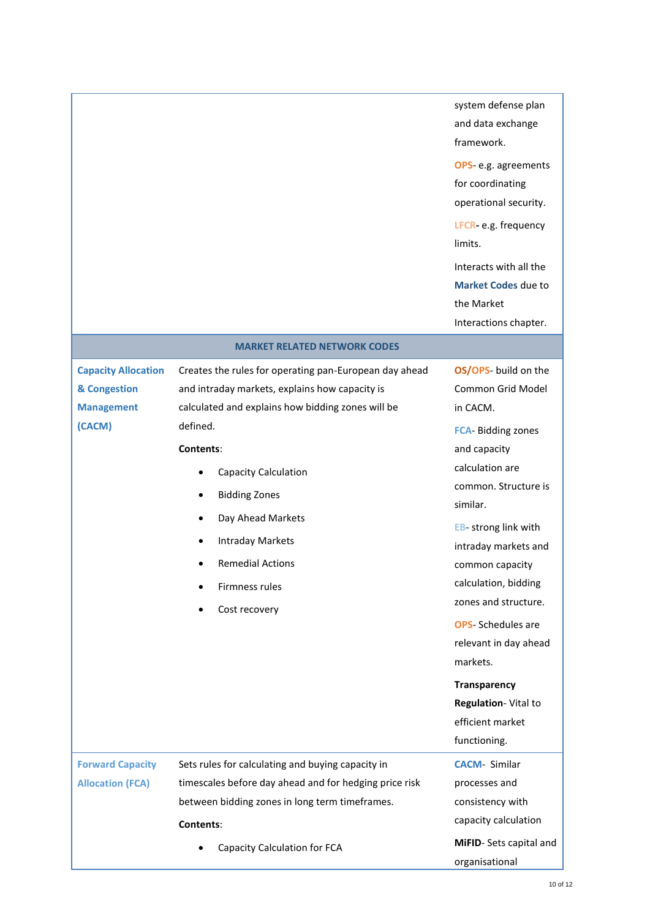|                                                                 |                                                                                                                                                                                                                   | system defense plan<br>and data exchange<br>framework.<br>OPS-e.g. agreements<br>for coordinating<br>operational security.<br>LFCR-e.g. frequency<br>limits.<br>Interacts with all the<br><b>Market Codes due to</b><br>the Market<br>Interactions chapter.                                                                                                                    |
|-----------------------------------------------------------------|-------------------------------------------------------------------------------------------------------------------------------------------------------------------------------------------------------------------|--------------------------------------------------------------------------------------------------------------------------------------------------------------------------------------------------------------------------------------------------------------------------------------------------------------------------------------------------------------------------------|
|                                                                 | <b>MARKET RELATED NETWORK CODES</b>                                                                                                                                                                               |                                                                                                                                                                                                                                                                                                                                                                                |
| <b>Capacity Allocation</b><br>& Congestion<br><b>Management</b> | Creates the rules for operating pan-European day ahead<br>and intraday markets, explains how capacity is<br>calculated and explains how bidding zones will be                                                     | OS/OPS- build on the<br>Common Grid Model<br>in CACM.                                                                                                                                                                                                                                                                                                                          |
| (CACM)                                                          | defined.<br>Contents:<br><b>Capacity Calculation</b><br><b>Bidding Zones</b><br>Day Ahead Markets<br><b>Intraday Markets</b><br><b>Remedial Actions</b><br>Firmness rules<br>Cost recovery                        | <b>FCA-Bidding zones</b><br>and capacity<br>calculation are<br>common. Structure is<br>similar.<br><b>EB-</b> strong link with<br>intraday markets and<br>common capacity<br>calculation, bidding<br>zones and structure.<br><b>OPS</b> - Schedules are<br>relevant in day ahead<br>markets.<br><b>Transparency</b><br>Regulation-Vital to<br>efficient market<br>functioning. |
| <b>Forward Capacity</b><br><b>Allocation (FCA)</b>              | Sets rules for calculating and buying capacity in<br>timescales before day ahead and for hedging price risk<br>between bidding zones in long term timeframes.<br>Contents:<br><b>Capacity Calculation for FCA</b> | <b>CACM- Similar</b><br>processes and<br>consistency with<br>capacity calculation<br>MiFID- Sets capital and<br>organisational                                                                                                                                                                                                                                                 |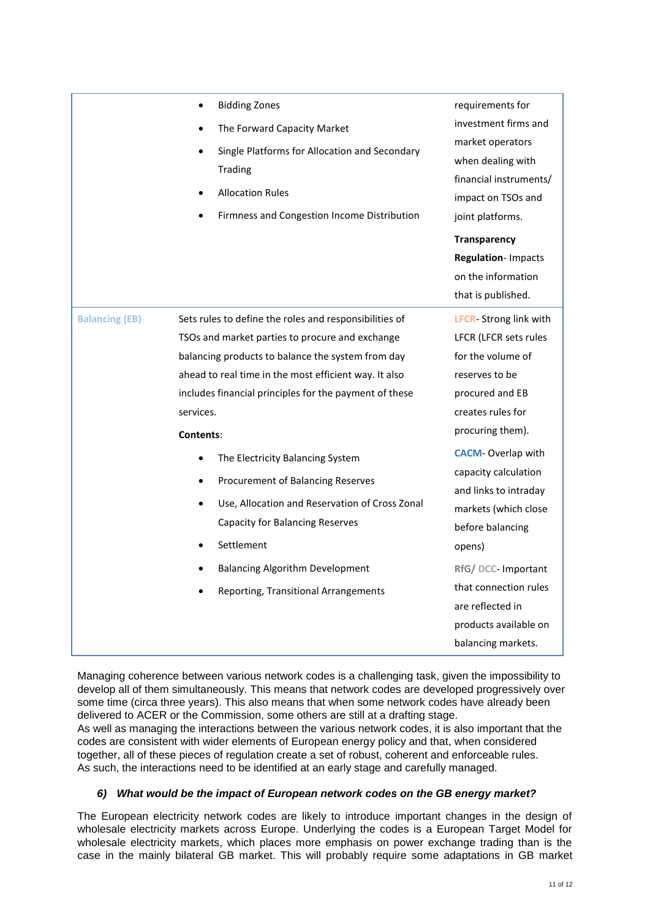|                       | <b>Bidding Zones</b><br>The Forward Capacity Market<br>Single Platforms for Allocation and Secondary<br><b>Trading</b><br><b>Allocation Rules</b><br>Firmness and Congestion Income Distribution                                                                                                                                                                                                                                                                                                                                                                                 | requirements for<br>investment firms and<br>market operators<br>when dealing with<br>financial instruments/<br>impact on TSOs and<br>joint platforms.<br><b>Transparency</b><br>Regulation-Impacts<br>on the information<br>that is published.                                                                                                                                                               |
|-----------------------|----------------------------------------------------------------------------------------------------------------------------------------------------------------------------------------------------------------------------------------------------------------------------------------------------------------------------------------------------------------------------------------------------------------------------------------------------------------------------------------------------------------------------------------------------------------------------------|--------------------------------------------------------------------------------------------------------------------------------------------------------------------------------------------------------------------------------------------------------------------------------------------------------------------------------------------------------------------------------------------------------------|
| <b>Balancing (EB)</b> | Sets rules to define the roles and responsibilities of<br>TSOs and market parties to procure and exchange<br>balancing products to balance the system from day<br>ahead to real time in the most efficient way. It also<br>includes financial principles for the payment of these<br>services.<br>Contents:<br>The Electricity Balancing System<br>Procurement of Balancing Reserves<br>Use, Allocation and Reservation of Cross Zonal<br><b>Capacity for Balancing Reserves</b><br>Settlement<br><b>Balancing Algorithm Development</b><br>Reporting, Transitional Arrangements | <b>LFCR-Strong link with</b><br>LFCR (LFCR sets rules<br>for the volume of<br>reserves to be<br>procured and EB<br>creates rules for<br>procuring them).<br><b>CACM-Overlap with</b><br>capacity calculation<br>and links to intraday<br>markets (which close<br>before balancing<br>opens)<br>RfG/DCC-Important<br>that connection rules<br>are reflected in<br>products available on<br>balancing markets. |
|                       |                                                                                                                                                                                                                                                                                                                                                                                                                                                                                                                                                                                  |                                                                                                                                                                                                                                                                                                                                                                                                              |

Managing coherence between various network codes is a challenging task, given the impossibility to develop all of them simultaneously. This means that network codes are developed progressively over some time (circa three years). This also means that when some network codes have already been delivered to ACER or the Commission, some others are still at a drafting stage. As well as managing the interactions between the various network codes, it is also important that the codes are consistent with wider elements of European energy policy and that, when considered together, all of these pieces of regulation create a set of robust, coherent and enforceable rules.

As such, the interactions need to be identified at an early stage and carefully managed.

### *6) What would be the impact of European network codes on the GB energy market?*

The European electricity network codes are likely to introduce important changes in the design of wholesale electricity markets across Europe. Underlying the codes is a European Target Model for wholesale electricity markets, which places more emphasis on power exchange trading than is the case in the mainly bilateral GB market. This will probably require some adaptations in GB market